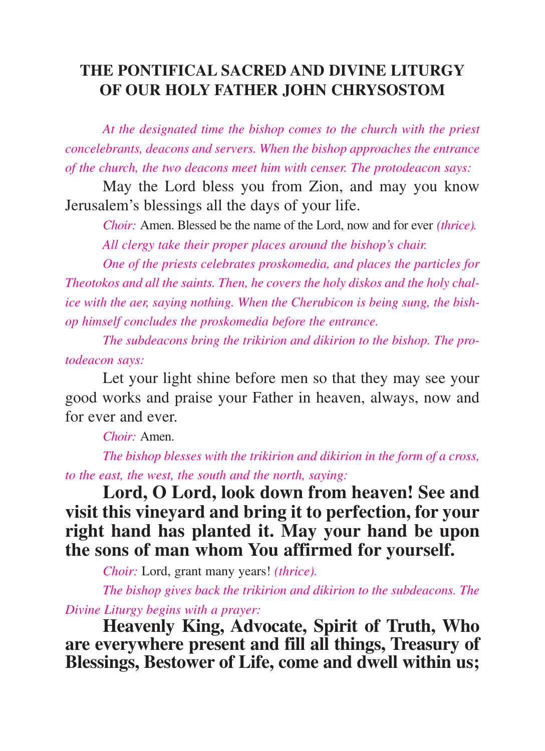## **THE PONTIFICAL SACRED AND DIVINE LITURGY OF OUR HOLY FATHER JOHN CHRYSOSTOM**

*At the designated time the bishop comes to the church with the priest concelebrants, deacons and servers. When the bishop approaches the entrance of the church, the two deacons meet him with censer. The protodeacon says:*

May the Lord bless you from Zion, and may you know Jerusalem's blessings all the days of your life.

*Choir:* Amen. Blessed be the name of the Lord, now and for ever *(thrice).*

*All clergy take their proper places around the bishop's chair.* 

*One of the priests celebrates proskomedia, and places the particles for Theotokos and all the saints. Then, he covers the holy diskos and the holy chalice with the aer, saying nothing. When the Cherubicon is being sung, the bishop himself concludes the proskomedia before the entrance.*

*The subdeacons bring the trikirion and dikirion to the bishop. The protodeacon says:*

Let your light shine before men so that they may see your good works and praise your Father in heaven, always, now and for ever and ever.

*Choir:* Amen.

*The bishop blesses with the trikirion and dikirion in the form of a cross, to the east, the west, the south and the north, saying:*

**Lord, O Lord, look down from heaven! See and visit this vineyard and bring it to perfection, for your right hand has planted it. May your hand be upon the sons of man whom You affirmed for yourself.**

*Choir:* Lord, grant many years! *(thrice).*

*The bishop gives back the trikirion and dikirion to the subdeacons. The Divine Liturgy begins with a prayer:* 

**Heavenly King, Advocate, Spirit of Truth, Who are everywhere present and fill all things, Treasury of Blessings, Bestower of Life, come and dwell within us;**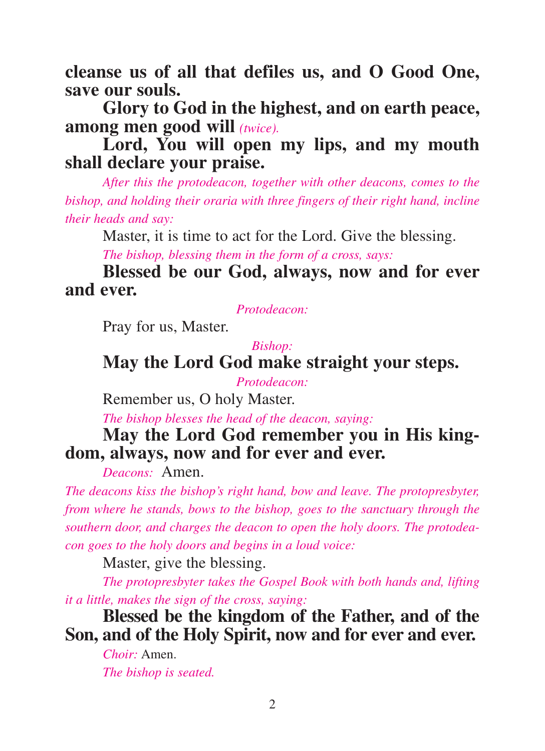**cleanse us of all that defiles us, and O Good One, save our souls.**

**Glory to God in the highest, and on earth peace, among men good will** *(twice).*

**Lord, You will open my lips, and my mouth shall declare your praise.**

*After this the protodeacon, together with other deacons, comes to the bishop, and holding their oraria with three fingers of their right hand, incline their heads and say:*

Master, it is time to act for the Lord. Give the blessing.

*The bishop, blessing them in the form of a cross, says:*

**Blessed be our God, always, now and for ever and ever.**

*Protodeacon:* 

Pray for us, Master.

*Bishop:* 

**May the Lord God make straight your steps.**

*Protodeacon:*

Remember us, O holy Master.

*The bishop blesses the head of the deacon, saying:*

**May the Lord God remember you in His kingdom, always, now and for ever and ever.**

*Deacons:* Amen.

*The deacons kiss the bishop's right hand, bow and leave. The protopresbyter, from where he stands, bows to the bishop, goes to the sanctuary through the southern door, and charges the deacon to open the holy doors. The protodeacon goes to the holy doors and begins in a loud voice:*

Master, give the blessing.

*The protopresbyter takes the Gospel Book with both hands and, lifting it a little, makes the sign of the cross, saying:*

**Blessed be the kingdom of the Father, and of the Son, and of the Holy Spirit, now and for ever and ever.**

*Choir:* Amen. *The bishop is seated.*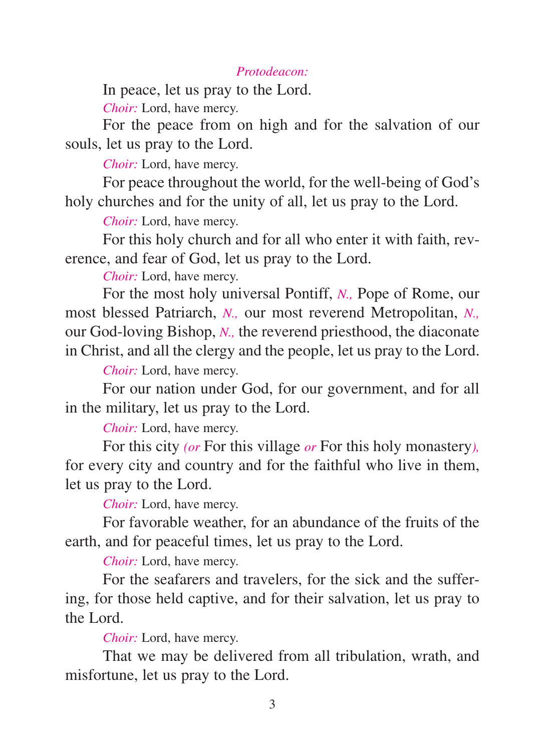#### *Protodeacon:*

In peace, let us pray to the Lord.

*Choir:* Lord, have mercy.

For the peace from on high and for the salvation of our souls, let us pray to the Lord.

*Choir:* Lord, have mercy.

For peace throughout the world, for the well-being of God's holy churches and for the unity of all, let us pray to the Lord.

*Choir:* Lord, have mercy.

For this holy church and for all who enter it with faith, reverence, and fear of God, let us pray to the Lord.

*Choir:* Lord, have mercy.

For the most holy universal Pontiff, *N.,* Pope of Rome, our most blessed Patriarch, *N.,* our most reverend Metropolitan, *N.,* our God-loving Bishop, *N.,* the reverend priesthood, the diaconate in Christ, and all the clergy and the people, let us pray to the Lord.

*Choir:* Lord, have mercy.

For our nation under God, for our government, and for all in the military, let us pray to the Lord.

*Choir:* Lord, have mercy.

For this city *(or* For this village *or* For this holy monastery*),* for every city and country and for the faithful who live in them, let us pray to the Lord.

*Choir:* Lord, have mercy.

For favorable weather, for an abundance of the fruits of the earth, and for peaceful times, let us pray to the Lord.

*Choir:* Lord, have mercy.

For the seafarers and travelers, for the sick and the suffering, for those held captive, and for their salvation, let us pray to the Lord.

*Choir:* Lord, have mercy.

That we may be delivered from all tribulation, wrath, and misfortune, let us pray to the Lord.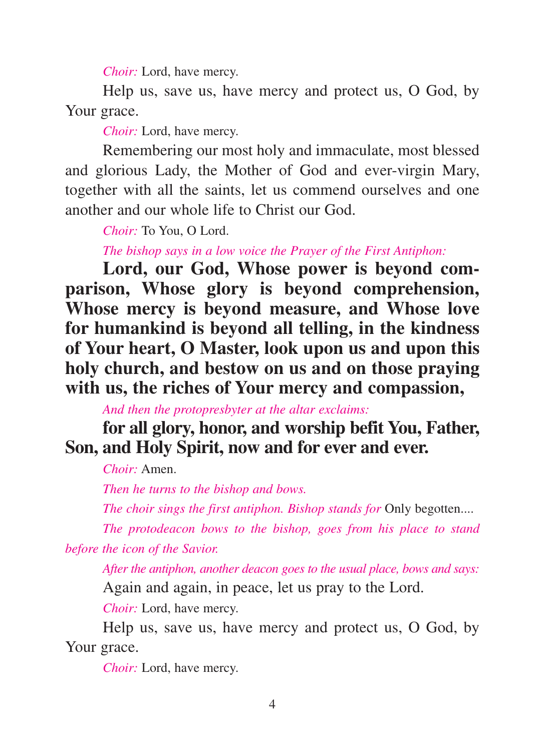*Choir:* Lord, have mercy.

Help us, save us, have mercy and protect us, O God, by Your grace.

*Choir:* Lord, have mercy.

Remembering our most holy and immaculate, most blessed and glorious Lady, the Mother of God and ever-virgin Mary, together with all the saints, let us commend ourselves and one another and our whole life to Christ our God.

*Choir:* To You, O Lord.

*The bishop says in a low voice the Prayer of the First Antiphon:*

**Lord, our God, Whose power is beyond comparison, Whose glory is beyond comprehension, Whose mercy is beyond measure, and Whose love for humankind is beyond all telling, in the kindness of Your heart, O Master, look upon us and upon this holy church, and bestow on us and on those praying with us, the riches of Your mercy and compassion,**

*And then the protopresbyter at the altar exclaims:*

**for all glory, honor, and worship befit You, Father, Son, and Holy Spirit, now and for ever and ever.**

*Choir:* Amen.

*Then he turns to the bishop and bows.*

*The choir sings the first antiphon. Bishop stands for Only begotten....* 

*The protodeacon bows to the bishop, goes from his place to stand before the icon of the Savior.*

*After the antiphon, another deacon goes to the usual place, bows and says:* Again and again, in peace, let us pray to the Lord.

*Choir:* Lord, have mercy.

Help us, save us, have mercy and protect us, O God, by Your grace.

*Choir:* Lord, have mercy.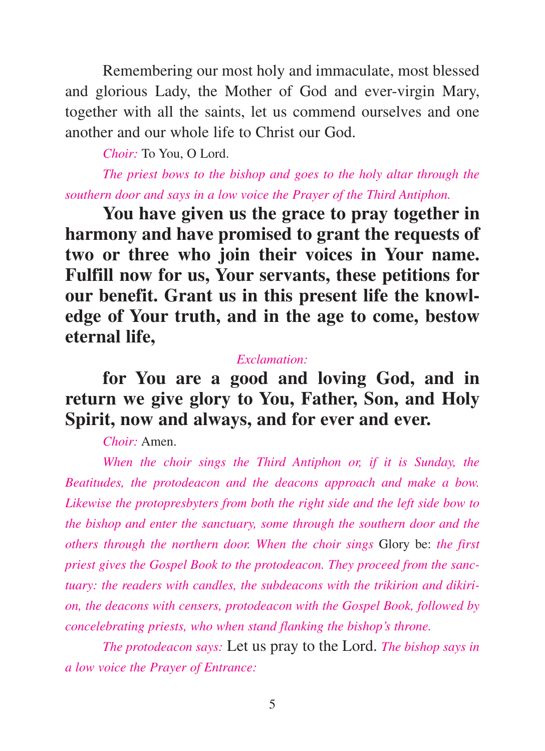Remembering our most holy and immaculate, most blessed and glorious Lady, the Mother of God and ever-virgin Mary, together with all the saints, let us commend ourselves and one another and our whole life to Christ our God.

*Choir:* To You, O Lord.

*The priest bows to the bishop and goes to the holy altar through the southern door and says in a low voice the Prayer of the Third Antiphon.*

**You have given us the grace to pray together in harmony and have promised to grant the requests of two or three who join their voices in Your name. Fulfill now for us, Your servants, these petitions for our benefit. Grant us in this present life the knowledge of Your truth, and in the age to come, bestow eternal life,**

#### *Exclamation:*

**for You are a good and loving God, and in return we give glory to You, Father, Son, and Holy Spirit, now and always, and for ever and ever.**

*Choir:* Amen.

*When the choir sings the Third Antiphon or, if it is Sunday, the Beatitudes, the protodeacon and the deacons approach and make a bow. Likewise the protopresbyters from both the right side and the left side bow to the bishop and enter the sanctuary, some through the southern door and the others through the northern door. When the choir sings* Glory be: *the first priest gives the Gospel Book to the protodeacon. They proceed from the sanctuary: the readers with candles, the subdeacons with the trikirion and dikirion, the deacons with censers, protodeacon with the Gospel Book, followed by concelebrating priests, who when stand flanking the bishop's throne.*

*The protodeacon says:* Let us pray to the Lord. *The bishop says in a low voice the Prayer of Entrance:*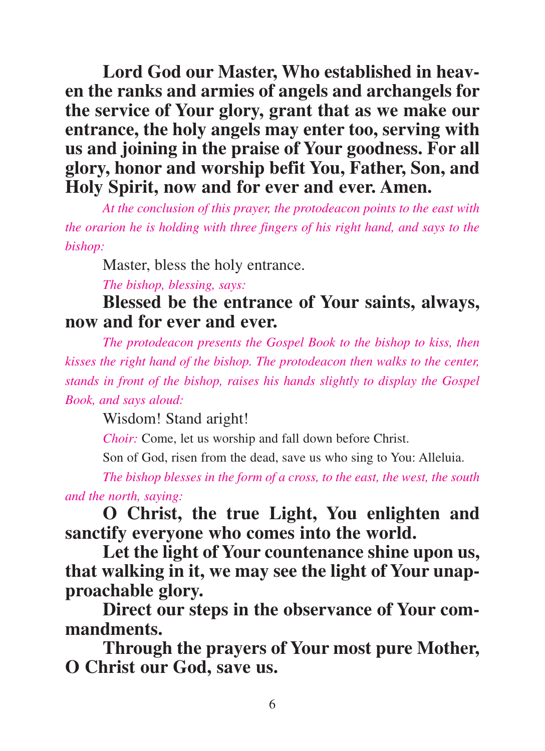**Lord God our Master, Who established in heaven the ranks and armies of angels and archangels for the service of Your glory, grant that as we make our entrance, the holy angels may enter too, serving with us and joining in the praise of Your goodness. For all glory, honor and worship befit You, Father, Son, and Holy Spirit, now and for ever and ever. Amen.**

*At the conclusion of this prayer, the protodeacon points to the east with the orarion he is holding with three fingers of his right hand, and says to the bishop:*

Master, bless the holy entrance.

*The bishop, blessing, says:*

**Blessed be the entrance of Your saints, always, now and for ever and ever.**

*The protodeacon presents the Gospel Book to the bishop to kiss, then kisses the right hand of the bishop. The protodeacon then walks to the center, stands in front of the bishop, raises his hands slightly to display the Gospel Book, and says aloud:*

Wisdom! Stand aright!

*Choir:* Come, let us worship and fall down before Christ.

Son of God, risen from the dead, save us who sing to You: Alleluia.

*The bishop blesses in the form of a cross, to the east, the west, the south and the north, saying:*

**O Christ, the true Light, You enlighten and sanctify everyone who comes into the world.**

**Let the light of Your countenance shine upon us, that walking in it, we may see the light of Your unapproachable glory.**

**Direct our steps in the observance of Your commandments.**

**Through the prayers of Your most pure Mother, O Christ our God, save us.**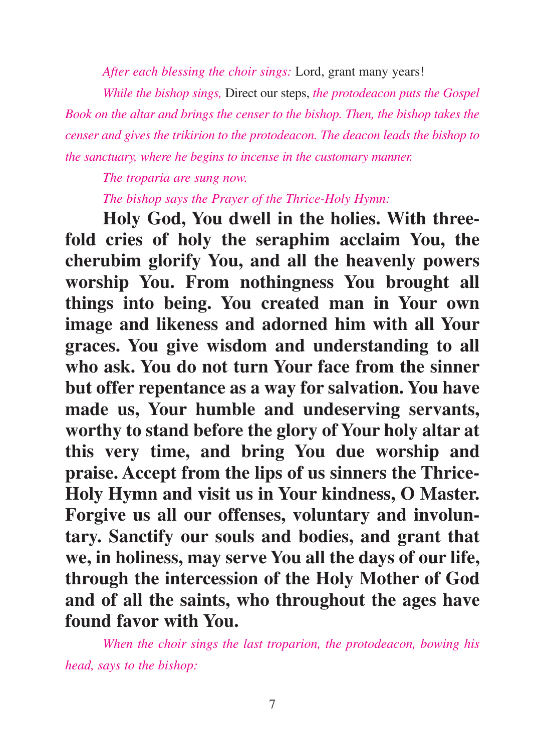*After each blessing the choir sings:* Lord, grant many years!

*While the bishop sings,* Direct our steps, *the protodeacon puts the Gospel Book on the altar and brings the censer to the bishop. Then, the bishop takes the censer and gives the trikirion to the protodeacon. The deacon leads the bishop to the sanctuary, where he begins to incense in the customary manner.*

*The troparia are sung now.*

*The bishop says the Prayer of the Thrice-Holy Hymn:*

**Holy God, You dwell in the holies. With threefold cries of holy the seraphim acclaim You, the cherubim glorify You, and all the heavenly powers worship You. From nothingness You brought all things into being. You created man in Your own image and likeness and adorned him with all Your graces. You give wisdom and understanding to all who ask. You do not turn Your face from the sinner but offer repentance as a way for salvation. You have made us, Your humble and undeserving servants, worthy to stand before the glory of Your holy altar at this very time, and bring You due worship and praise. Accept from the lips of us sinners the Thrice-Holy Hymn and visit us in Your kindness, O Master. Forgive us all our offenses, voluntary and involuntary. Sanctify our souls and bodies, and grant that we, in holiness, may serve You all the days of our life, through the intercession of the Holy Mother of God and of all the saints, who throughout the ages have found favor with You.**

*When the choir sings the last troparion, the protodeacon, bowing his head, says to the bishop:*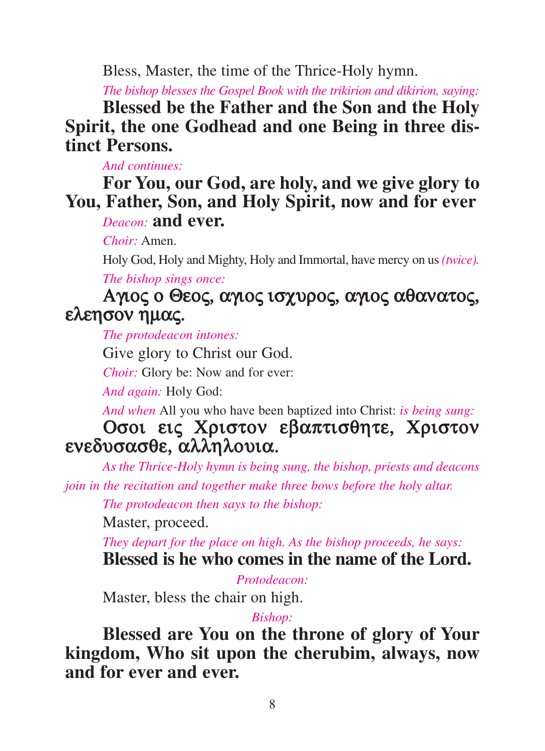Bless, Master, the time of the Thrice-Holy hymn.

*The bishop blesses the Gospel Book with the trikirion and dikirion, saying:*

**Blessed be the Father and the Son and the Holy Spirit, the one Godhead and one Being in three distinct Persons.**

*And continues:*

**For You, our God, are holy, and we give glory to You, Father, Son, and Holy Spirit, now and for ever** *Deacon:* **and ever.**

*Choir:* Amen.

Holy God, Holy and Mighty, Holy and Immortal, have mercy on us *(twice).*

*The bishop sings once:*

# Αγιος ο Θεος, αγιος ισχυρος, αγιος αθανατος, ελεησον ηµας.

*The protodeacon intones:*

Give glory to Christ our God.

*Choir:* Glory be: Now and for ever:

*And again:* Holy God:

*And when* All you who have been baptized into Christ: *is being sung:*

# Οσοι εις Χριστον εβαπτισθητε, Χριστον ενεδυσασθε, αλληλουια.

*As the Thrice-Holy hymn is being sung, the bishop, priests and deacons join in the recitation and together make three bows before the holy altar.*

*The protodeacon then says to the bishop:*

Master, proceed.

*They depart for the place on high. As the bishop proceeds, he says:* **Blessed is he who comes in the name of the Lord.**

*Protodeacon:*

Master, bless the chair on high.

### *Bishop:*

**Blessed are You on the throne of glory of Your kingdom, Who sit upon the cherubim, always, now and for ever and ever.**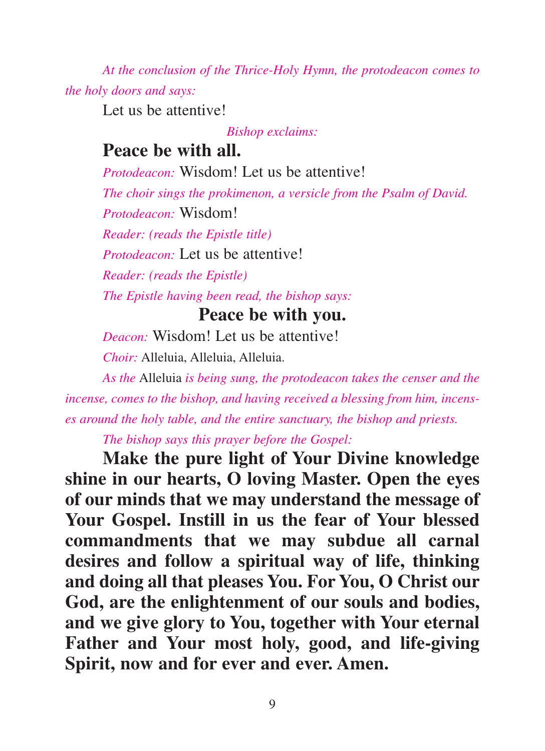*At the conclusion of the Thrice-Holy Hymn, the protodeacon comes to the holy doors and says:*

Let us be attentive!

*Bishop exclaims:*

# **Peace be with all.**

*Protodeacon:* Wisdom! Let us be attentive!

*The choir sings the prokimenon, a versicle from the Psalm of David. Protodeacon:* Wisdom!

*Reader: (reads the Epistle title)*

*Protodeacon:* Let us be attentive!

*Reader: (reads the Epistle)*

*The Epistle having been read, the bishop says:*

## **Peace be with you.**

*Deacon:* Wisdom! Let us be attentive!

*Choir:* Alleluia, Alleluia, Alleluia.

*As the* Alleluia *is being sung, the protodeacon takes the censer and the incense, comes to the bishop, and having received a blessing from him, incenses around the holy table, and the entire sanctuary, the bishop and priests.*

*The bishop says this prayer before the Gospel:*

**Make the pure light of Your Divine knowledge shine in our hearts, O loving Master. Open the eyes of our minds that we may understand the message of Your Gospel. Instill in us the fear of Your blessed commandments that we may subdue all carnal desires and follow a spiritual way of life, thinking and doing all that pleases You. For You, O Christ our God, are the enlightenment of our souls and bodies, and we give glory to You, together with Your eternal Father and Your most holy, good, and life-giving Spirit, now and for ever and ever. Amen.**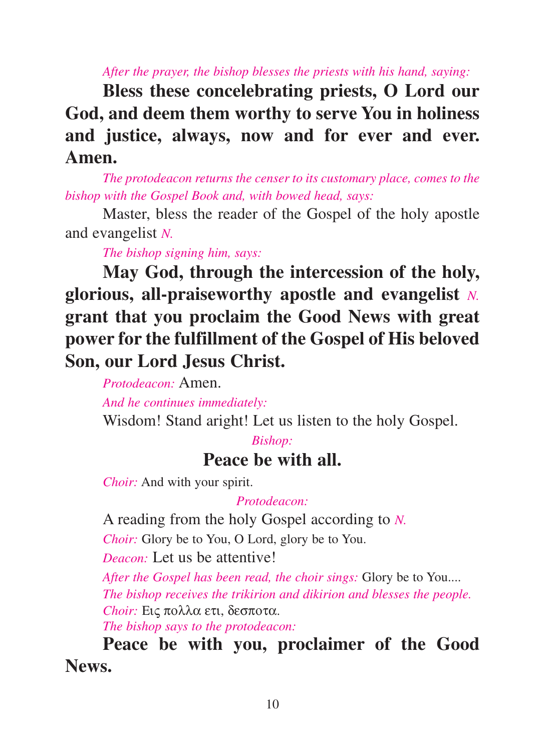*After the prayer, the bishop blesses the priests with his hand, saying:*

**Bless these concelebrating priests, O Lord our God, and deem them worthy to serve You in holiness and justice, always, now and for ever and ever. Amen.**

*The protodeacon returns the censer to its customary place, comes to the bishop with the Gospel Book and, with bowed head, says:*

Master, bless the reader of the Gospel of the holy apostle and evangelist *N.*

*The bishop signing him, says:*

**May God, through the intercession of the holy, glorious, all-praiseworthy apostle and evangelist** *N.* **grant that you proclaim the Good News with great power for the fulfillment of the Gospel of His beloved Son, our Lord Jesus Christ.**

*Protodeacon:* Amen.

*And he continues immediately:*

Wisdom! Stand aright! Let us listen to the holy Gospel.

## *Bishop:* **Peace be with all.**

*Choir:* And with your spirit.

### *Protodeacon:*

A reading from the holy Gospel according to *N.*

*Choir:* Glory be to You, O Lord, glory be to You.

*Deacon:* Let us be attentive!

*After the Gospel has been read, the choir sings:* Glory be to You.... *The bishop receives the trikirion and dikirion and blesses the people. Choir:* Εις πολλα ετι, δεσποτα.

*The bishop says to the protodeacon:*

**Peace be with you, proclaimer of the Good News.**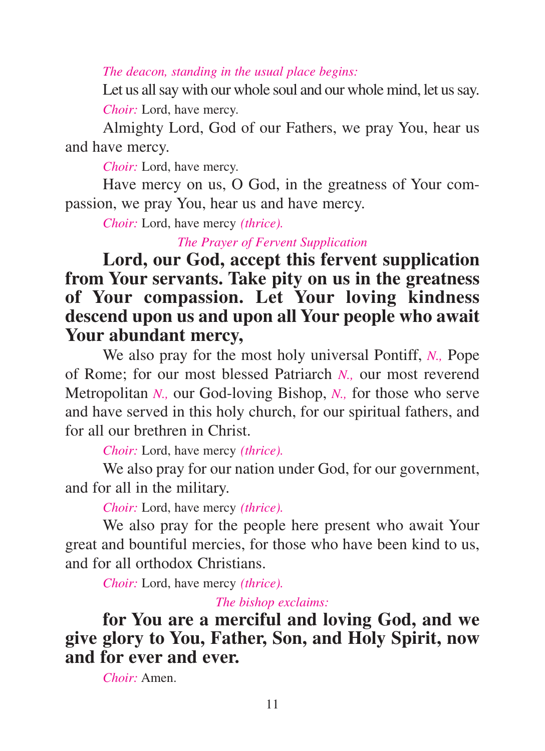*The deacon, standing in the usual place begins:*

Let us all say with our whole soul and our whole mind, let us say. *Choir:* Lord, have mercy.

Almighty Lord, God of our Fathers, we pray You, hear us and have mercy.

*Choir:* Lord, have mercy.

Have mercy on us, O God, in the greatness of Your compassion, we pray You, hear us and have mercy.

*Choir:* Lord, have mercy *(thrice).*

*The Prayer of Fervent Supplication*

## **Lord, our God, accept this fervent supplication from Your servants. Take pity on us in the greatness of Your compassion. Let Your loving kindness descend upon us and upon all Your people who await Your abundant mercy,**

We also pray for the most holy universal Pontiff, *N.,* Pope of Rome; for our most blessed Patriarch *N.,* our most reverend Metropolitan *N.,* our God-loving Bishop, *N.,* for those who serve and have served in this holy church, for our spiritual fathers, and for all our brethren in Christ.

*Choir:* Lord, have mercy *(thrice).*

We also pray for our nation under God, for our government, and for all in the military.

*Choir:* Lord, have mercy *(thrice).*

We also pray for the people here present who await Your great and bountiful mercies, for those who have been kind to us, and for all orthodox Christians.

*Choir:* Lord, have mercy *(thrice).*

*The bishop exclaims:*

**for You are a merciful and loving God, and we give glory to You, Father, Son, and Holy Spirit, now and for ever and ever.**

*Choir:* Amen.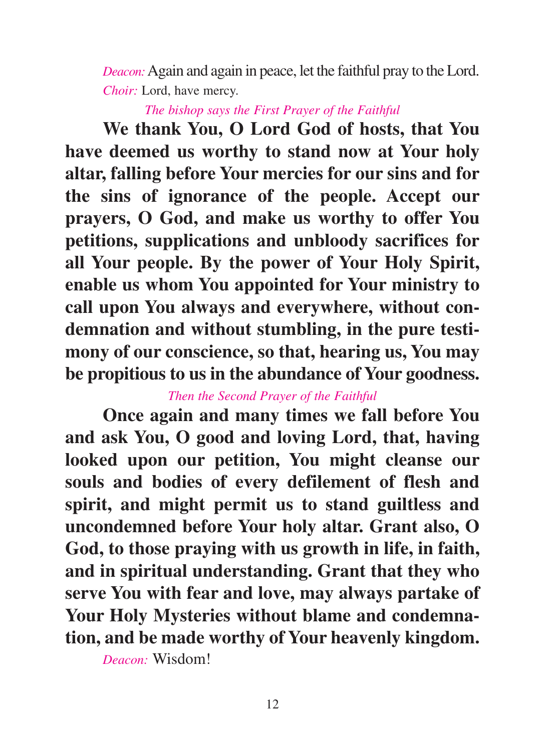*Deacon:*Again and again in peace, let the faithful pray to the Lord. *Choir:* Lord, have mercy.

*The bishop says the First Prayer of the Faithful*

**We thank You, O Lord God of hosts, that You have deemed us worthy to stand now at Your holy altar, falling before Your mercies for our sins and for the sins of ignorance of the people. Accept our prayers, O God, and make us worthy to offer You petitions, supplications and unbloody sacrifices for all Your people. By the power of Your Holy Spirit, enable us whom You appointed for Your ministry to call upon You always and everywhere, without condemnation and without stumbling, in the pure testimony of our conscience, so that, hearing us, You may be propitious to us in the abundance of Your goodness.**

### *Then the Second Prayer of the Faithful*

**Once again and many times we fall before You and ask You, O good and loving Lord, that, having looked upon our petition, You might cleanse our souls and bodies of every defilement of flesh and spirit, and might permit us to stand guiltless and uncondemned before Your holy altar. Grant also, O God, to those praying with us growth in life, in faith, and in spiritual understanding. Grant that they who serve You with fear and love, may always partake of Your Holy Mysteries without blame and condemnation, and be made worthy of Your heavenly kingdom.**

*Deacon:* Wisdom!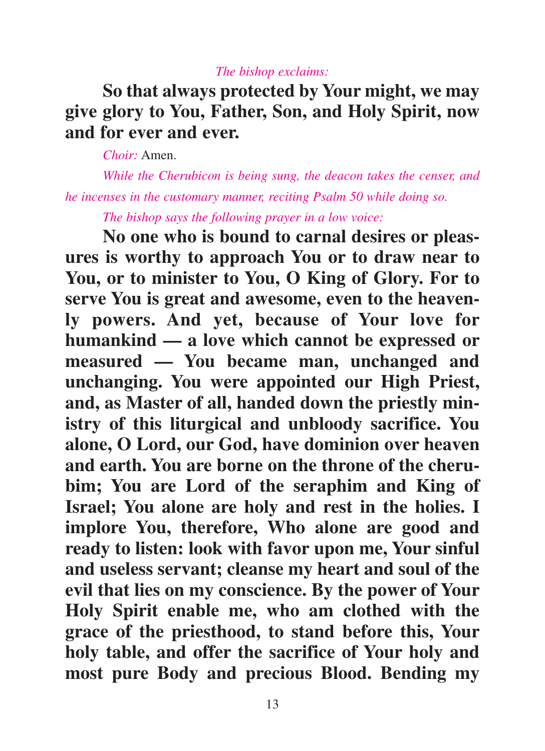#### *The bishop exclaims:*

# **So that always protected by Your might, we may give glory to You, Father, Son, and Holy Spirit, now and for ever and ever.**

*Choir:* Amen.

*While the Cherubicon is being sung, the deacon takes the censer, and he incenses in the customary manner, reciting Psalm 50 while doing so.*

*The bishop says the following prayer in a low voice:*

**No one who is bound to carnal desires or pleasures is worthy to approach You or to draw near to You, or to minister to You, O King of Glory. For to serve You is great and awesome, even to the heavenly powers. And yet, because of Your love for humankind — a love which cannot be expressed or measured — You became man, unchanged and unchanging. You were appointed our High Priest, and, as Master of all, handed down the priestly ministry of this liturgical and unbloody sacrifice. You alone, O Lord, our God, have dominion over heaven and earth. You are borne on the throne of the cherubim; You are Lord of the seraphim and King of Israel; You alone are holy and rest in the holies. I implore You, therefore, Who alone are good and ready to listen: look with favor upon me, Your sinful and useless servant; cleanse my heart and soul of the evil that lies on my conscience. By the power of Your Holy Spirit enable me, who am clothed with the grace of the priesthood, to stand before this, Your holy table, and offer the sacrifice of Your holy and most pure Body and precious Blood. Bending my**

13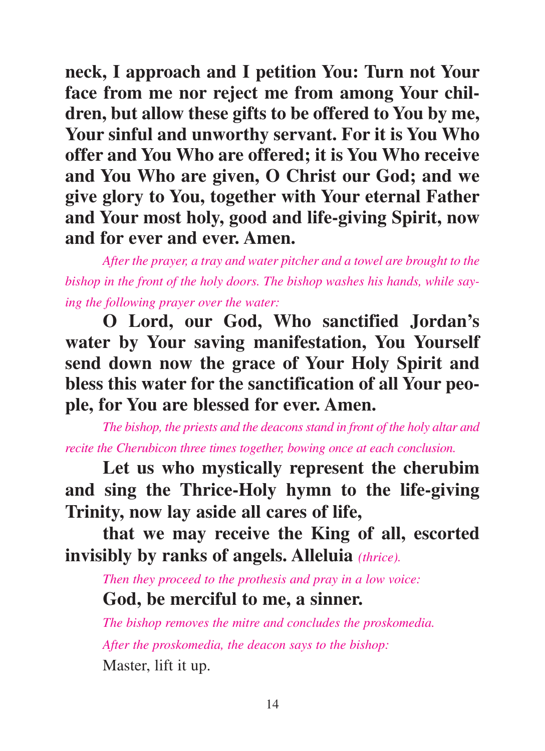**neck, I approach and I petition You: Turn not Your face from me nor reject me from among Your children, but allow these gifts to be offered to You by me, Your sinful and unworthy servant. For it is You Who offer and You Who are offered; it is You Who receive and You Who are given, O Christ our God; and we give glory to You, together with Your eternal Father and Your most holy, good and life-giving Spirit, now and for ever and ever. Amen.**

*After the prayer, a tray and water pitcher and a towel are brought to the bishop in the front of the holy doors. The bishop washes his hands, while saying the following prayer over the water:*

**O Lord, our God, Who sanctified Jordan's water by Your saving manifestation, You Yourself send down now the grace of Your Holy Spirit and bless this water for the sanctification of all Your people, for You are blessed for ever. Amen.**

*The bishop, the priests and the deacons stand in front of the holy altar and recite the Cherubicon three times together, bowing once at each conclusion.*

**Let us who mystically represent the cherubim and sing the Thrice-Holy hymn to the life-giving Trinity, now lay aside all cares of life,**

**that we may receive the King of all, escorted invisibly by ranks of angels. Alleluia** *(thrice).*

*Then they proceed to the prothesis and pray in a low voice:*

# **God, be merciful to me, a sinner.**

*The bishop removes the mitre and concludes the proskomedia. After the proskomedia, the deacon says to the bishop:* Master, lift it up.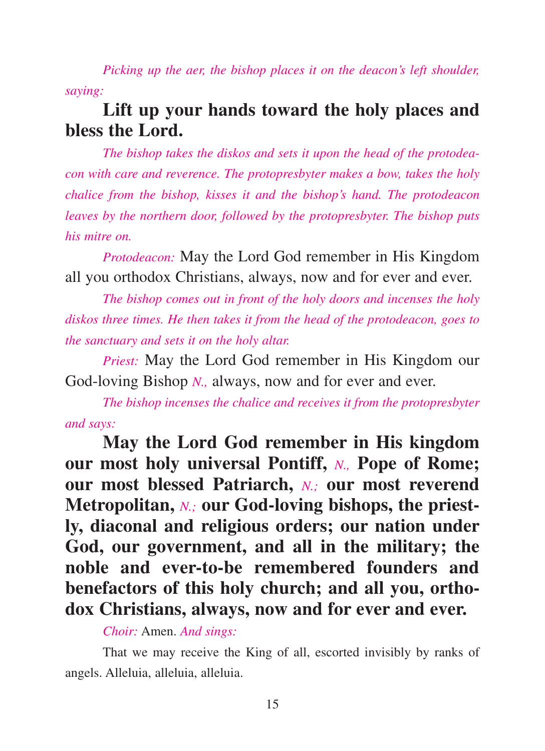*Picking up the aer, the bishop places it on the deacon's left shoulder, saying:*

# **Lift up your hands toward the holy places and bless the Lord.**

*The bishop takes the diskos and sets it upon the head of the protodeacon with care and reverence. The protopresbyter makes a bow, takes the holy chalice from the bishop, kisses it and the bishop's hand. The protodeacon leaves by the northern door, followed by the protopresbyter. The bishop puts his mitre on.*

*Protodeacon:* May the Lord God remember in His Kingdom all you orthodox Christians, always, now and for ever and ever.

*The bishop comes out in front of the holy doors and incenses the holy diskos three times. He then takes it from the head of the protodeacon, goes to the sanctuary and sets it on the holy altar.*

*Priest:* May the Lord God remember in His Kingdom our God-loving Bishop *N.*, always, now and for ever and ever.

*The bishop incenses the chalice and receives it from the protopresbyter and says:*

**May the Lord God remember in His kingdom our most holy universal Pontiff,** *N.,* **Pope of Rome; our most blessed Patriarch,** *N.;* **our most reverend Metropolitan,** *N.;* **our God-loving bishops, the priestly, diaconal and religious orders; our nation under God, our government, and all in the military; the noble and ever-to-be remembered founders and benefactors of this holy church; and all you, orthodox Christians, always, now and for ever and ever.**

*Choir:* Amen. *And sings:*

That we may receive the King of all, escorted invisibly by ranks of angels. Alleluia, alleluia, alleluia.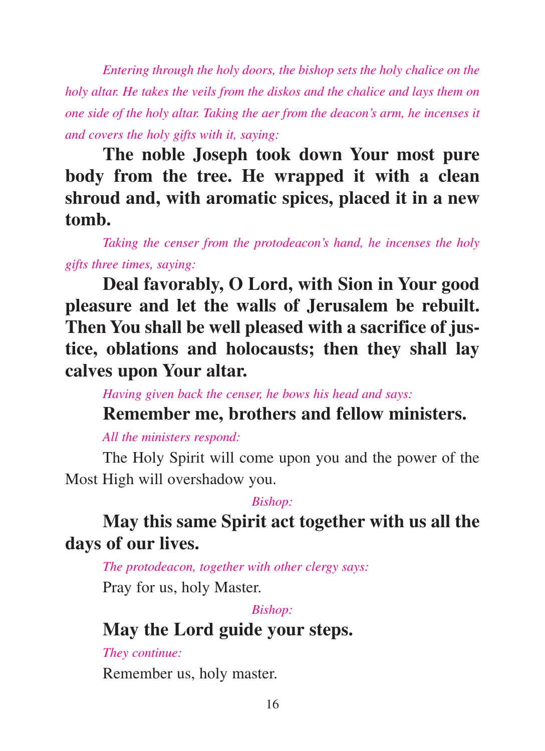*Entering through the holy doors, the bishop sets the holy chalice on the holy altar. He takes the veils from the diskos and the chalice and lays them on one side of the holy altar. Taking the aer from the deacon's arm, he incenses it and covers the holy gifts with it, saying:*

**The noble Joseph took down Your most pure body from the tree. He wrapped it with a clean shroud and, with aromatic spices, placed it in a new tomb.**

*Taking the censer from the protodeacon's hand, he incenses the holy gifts three times, saying:*

**Deal favorably, O Lord, with Sion in Your good pleasure and let the walls of Jerusalem be rebuilt. Then You shall be well pleased with a sacrifice of justice, oblations and holocausts; then they shall lay calves upon Your altar.**

*Having given back the censer, he bows his head and says:*

## **Remember me, brothers and fellow ministers.**

### *All the ministers respond:*

The Holy Spirit will come upon you and the power of the Most High will overshadow you.

### *Bishop:*

# **May this same Spirit act together with us all the days of our lives.**

*The protodeacon, together with other clergy says:*

Pray for us, holy Master.

## *Bishop:*

# **May the Lord guide your steps.**

## *They continue:*

Remember us, holy master.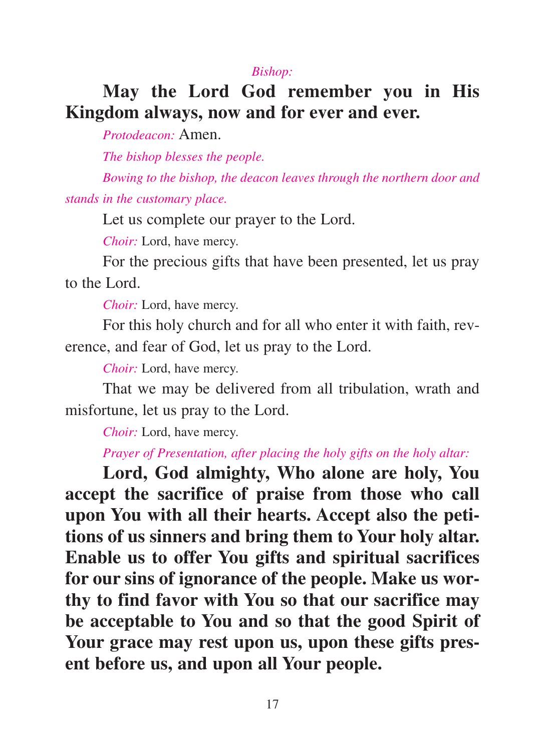#### *Bishop:*

# **May the Lord God remember you in His Kingdom always, now and for ever and ever.**

*Protodeacon:* Amen.

*The bishop blesses the people.*

*Bowing to the bishop, the deacon leaves through the northern door and stands in the customary place.*

Let us complete our prayer to the Lord.

*Choir:* Lord, have mercy.

For the precious gifts that have been presented, let us pray to the Lord.

*Choir:* Lord, have mercy.

For this holy church and for all who enter it with faith, reverence, and fear of God, let us pray to the Lord.

*Choir:* Lord, have mercy.

That we may be delivered from all tribulation, wrath and misfortune, let us pray to the Lord.

*Choir:* Lord, have mercy.

### *Prayer of Presentation, after placing the holy gifts on the holy altar:*

**Lord, God almighty, Who alone are holy, You accept the sacrifice of praise from those who call upon You with all their hearts. Accept also the petitions of us sinners and bring them to Your holy altar. Enable us to offer You gifts and spiritual sacrifices for our sins of ignorance of the people. Make us worthy to find favor with You so that our sacrifice may be acceptable to You and so that the good Spirit of Your grace may rest upon us, upon these gifts present before us, and upon all Your people.**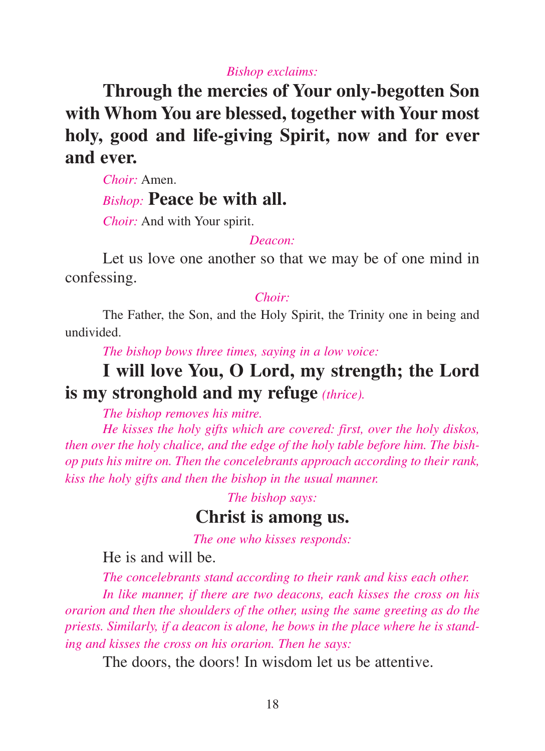#### *Bishop exclaims:*

**Through the mercies of Your only-begotten Son with Whom You are blessed, together with Your most holy, good and life-giving Spirit, now and for ever and ever.**

*Choir:* Amen.

### *Bishop:* **Peace be with all.**

*Choir:* And with Your spirit.

#### *Deacon:*

Let us love one another so that we may be of one mind in confessing.

#### *Choir:*

The Father, the Son, and the Holy Spirit, the Trinity one in being and undivided.

*The bishop bows three times, saying in a low voice:*

# **I will love You, O Lord, my strength; the Lord is my stronghold and my refuge** *(thrice).*

*The bishop removes his mitre.* 

*He kisses the holy gifts which are covered: first, over the holy diskos, then over the holy chalice, and the edge of the holy table before him. The bishop puts his mitre on. Then the concelebrants approach according to their rank, kiss the holy gifts and then the bishop in the usual manner.*

*The bishop says:*

## **Christ is among us.**

*The one who kisses responds:*

He is and will be.

*The concelebrants stand according to their rank and kiss each other.*

*In like manner, if there are two deacons, each kisses the cross on his orarion and then the shoulders of the other, using the same greeting as do the priests. Similarly, if a deacon is alone, he bows in the place where he is standing and kisses the cross on his orarion. Then he says:*

The doors, the doors! In wisdom let us be attentive.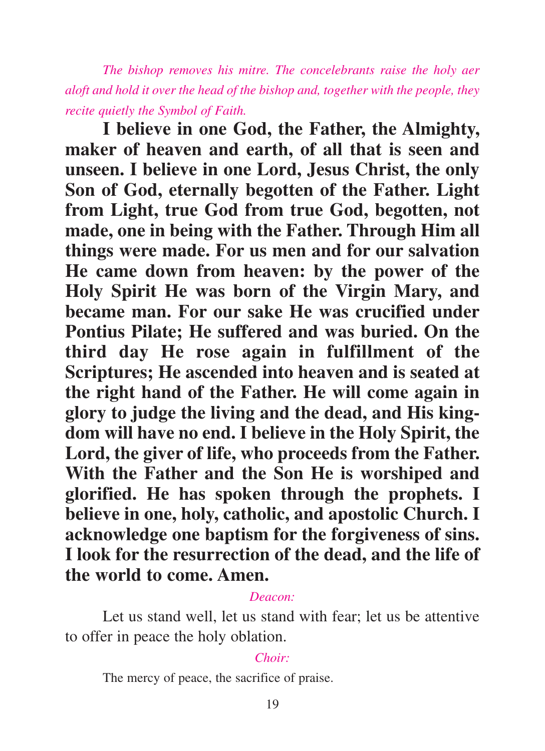*The bishop removes his mitre. The concelebrants raise the holy aer aloft and hold it over the head of the bishop and, together with the people, they recite quietly the Symbol of Faith.*

**I believe in one God, the Father, the Almighty, maker of heaven and earth, of all that is seen and unseen. I believe in one Lord, Jesus Christ, the only Son of God, eternally begotten of the Father. Light from Light, true God from true God, begotten, not made, one in being with the Father. Through Him all things were made. For us men and for our salvation He came down from heaven: by the power of the Holy Spirit He was born of the Virgin Mary, and became man. For our sake He was crucified under Pontius Pilate; He suffered and was buried. On the third day He rose again in fulfillment of the Scriptures; He ascended into heaven and is seated at the right hand of the Father. He will come again in glory to judge the living and the dead, and His kingdom will have no end. I believe in the Holy Spirit, the Lord, the giver of life, who proceeds from the Father. With the Father and the Son He is worshiped and glorified. He has spoken through the prophets. I believe in one, holy, catholic, and apostolic Church. I acknowledge one baptism for the forgiveness of sins. I look for the resurrection of the dead, and the life of the world to come. Amen.**

#### *Deacon:*

Let us stand well, let us stand with fear; let us be attentive to offer in peace the holy oblation.

#### *Choir:*

The mercy of peace, the sacrifice of praise.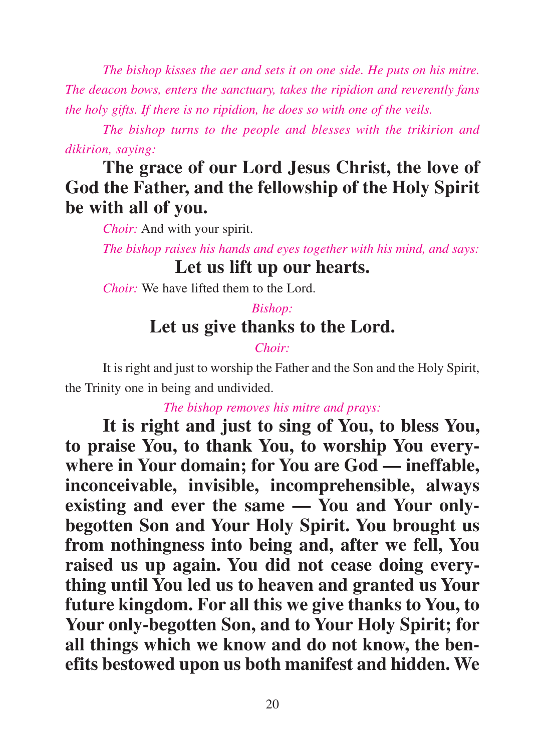*The bishop kisses the aer and sets it on one side. He puts on his mitre. The deacon bows, enters the sanctuary, takes the ripidion and reverently fans the holy gifts. If there is no ripidion, he does so with one of the veils.*

*The bishop turns to the people and blesses with the trikirion and dikirion, saying:*

# **The grace of our Lord Jesus Christ, the love of God the Father, and the fellowship of the Holy Spirit be with all of you.**

*Choir:* And with your spirit.

*The bishop raises his hands and eyes together with his mind, and says:* **Let us lift up our hearts.**

*Choir:* We have lifted them to the Lord.

## *Bishop:* **Let us give thanks to the Lord.**

### *Choir:*

It is right and just to worship the Father and the Son and the Holy Spirit, the Trinity one in being and undivided.

*The bishop removes his mitre and prays:*

**It is right and just to sing of You, to bless You, to praise You, to thank You, to worship You everywhere in Your domain; for You are God — ineffable, inconceivable, invisible, incomprehensible, always existing and ever the same — You and Your onlybegotten Son and Your Holy Spirit. You brought us from nothingness into being and, after we fell, You raised us up again. You did not cease doing everything until You led us to heaven and granted us Your future kingdom. For all this we give thanks to You, to Your only-begotten Son, and to Your Holy Spirit; for all things which we know and do not know, the benefits bestowed upon us both manifest and hidden. We**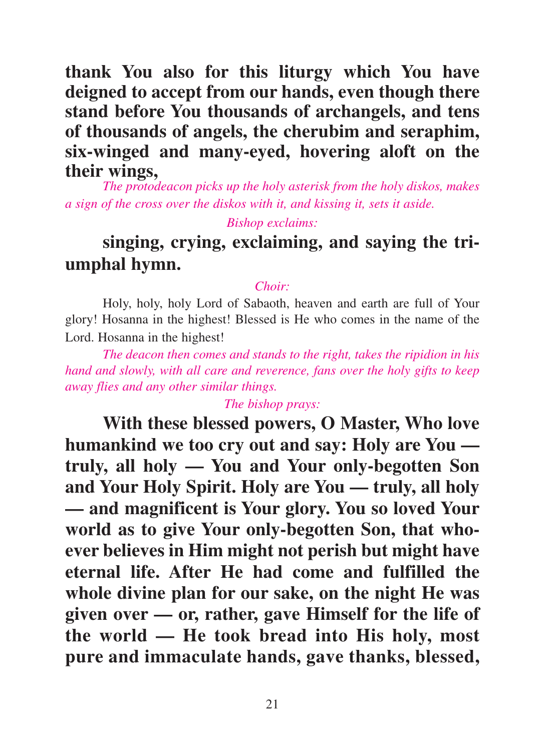**thank You also for this liturgy which You have deigned to accept from our hands, even though there stand before You thousands of archangels, and tens of thousands of angels, the cherubim and seraphim, six-winged and many-eyed, hovering aloft on the their wings,**

*The protodeacon picks up the holy asterisk from the holy diskos, makes a sign of the cross over the diskos with it, and kissing it, sets it aside.*

*Bishop exclaims:*

# **singing, crying, exclaiming, and saying the triumphal hymn.**

#### *Choir:*

Holy, holy, holy Lord of Sabaoth, heaven and earth are full of Your glory! Hosanna in the highest! Blessed is He who comes in the name of the Lord. Hosanna in the highest!

*The deacon then comes and stands to the right, takes the ripidion in his hand and slowly, with all care and reverence, fans over the holy gifts to keep away flies and any other similar things.*

#### *The bishop prays:*

**With these blessed powers, O Master, Who love humankind we too cry out and say: Holy are You truly, all holy — You and Your only-begotten Son and Your Holy Spirit. Holy are You — truly, all holy — and magnificent is Your glory. You so loved Your world as to give Your only-begotten Son, that whoever believes in Him might not perish but might have eternal life. After He had come and fulfilled the whole divine plan for our sake, on the night He was given over — or, rather, gave Himself for the life of the world — He took bread into His holy, most pure and immaculate hands, gave thanks, blessed,**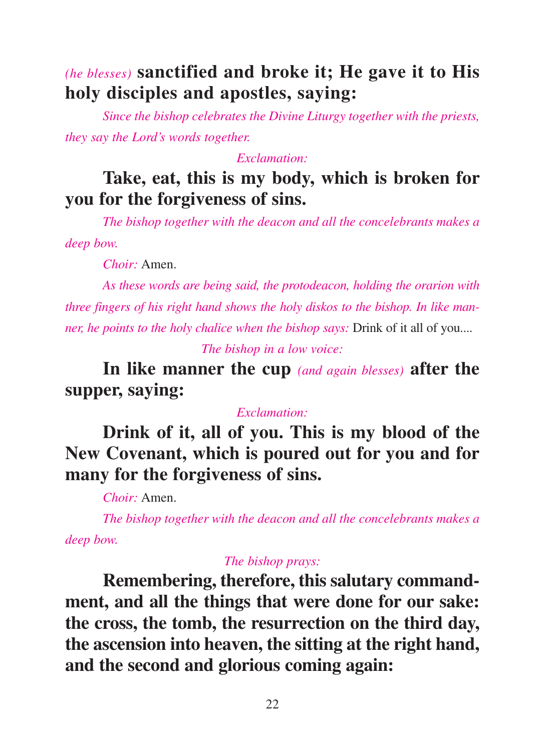# *(he blesses)* **sanctified and broke it; He gave it to His holy disciples and apostles, saying:**

*Since the bishop celebrates the Divine Liturgy together with the priests, they say the Lord's words together.*

#### *Exclamation:*

# **Take, eat, this is my body, which is broken for you for the forgiveness of sins.**

*The bishop together with the deacon and all the concelebrants makes a deep bow.*

*Choir:* Amen.

*As these words are being said, the protodeacon, holding the orarion with three fingers of his right hand shows the holy diskos to the bishop. In like manner, he points to the holy chalice when the bishop says: Drink of it all of you....* 

*The bishop in a low voice:*

**In like manner the cup** *(and again blesses)* **after the supper, saying:**

### *Exclamation:*

**Drink of it, all of you. This is my blood of the New Covenant, which is poured out for you and for many for the forgiveness of sins.**

*Choir:* Amen.

*The bishop together with the deacon and all the concelebrants makes a deep bow.*

### *The bishop prays:*

**Remembering, therefore, this salutary commandment, and all the things that were done for our sake: the cross, the tomb, the resurrection on the third day, the ascension into heaven, the sitting at the right hand, and the second and glorious coming again:**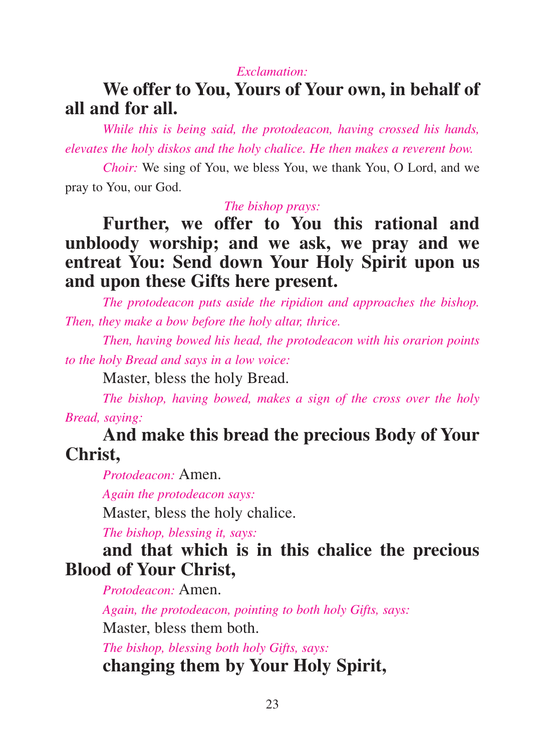#### *Exclamation:*

## **We offer to You, Yours of Your own, in behalf of all and for all.**

*While this is being said, the protodeacon, having crossed his hands, elevates the holy diskos and the holy chalice. He then makes a reverent bow.*

*Choir:* We sing of You, we bless You, we thank You, O Lord, and we pray to You, our God.

*The bishop prays:*

# **Further, we offer to You this rational and unbloody worship; and we ask, we pray and we entreat You: Send down Your Holy Spirit upon us and upon these Gifts here present.**

*The protodeacon puts aside the ripidion and approaches the bishop. Then, they make a bow before the holy altar, thrice.* 

*Then, having bowed his head, the protodeacon with his orarion points to the holy Bread and says in a low voice:*

Master, bless the holy Bread.

*The bishop, having bowed, makes a sign of the cross over the holy Bread, saying:*

## **And make this bread the precious Body of Your Christ,**

*Protodeacon:* Amen.

*Again the protodeacon says:*

Master, bless the holy chalice.

*The bishop, blessing it, says:*

## **and that which is in this chalice the precious Blood of Your Christ,**

*Protodeacon:* Amen.

*Again, the protodeacon, pointing to both holy Gifts, says:* Master, bless them both.

*The bishop, blessing both holy Gifts, says:* **changing them by Your Holy Spirit,**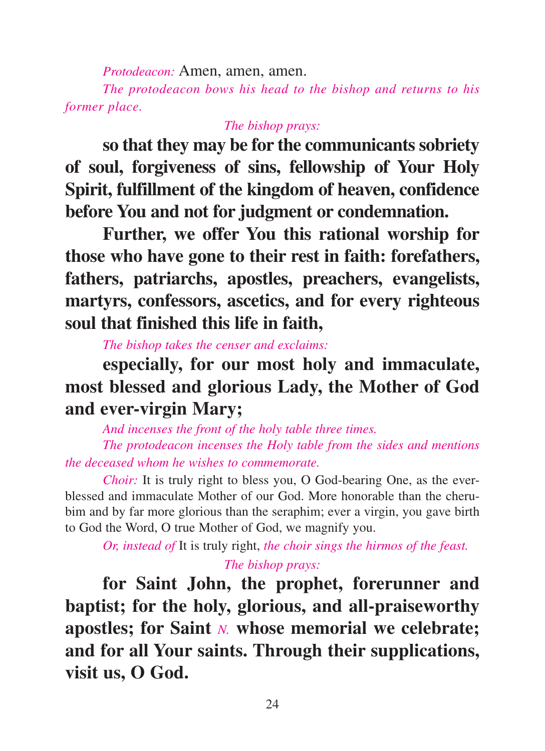*Protodeacon:* Amen, amen, amen.

*The protodeacon bows his head to the bishop and returns to his former place.*

### *The bishop prays:*

**so that they may be for the communicants sobriety of soul, forgiveness of sins, fellowship of Your Holy Spirit, fulfillment of the kingdom of heaven, confidence before You and not for judgment or condemnation.**

**Further, we offer You this rational worship for those who have gone to their rest in faith: forefathers, fathers, patriarchs, apostles, preachers, evangelists, martyrs, confessors, ascetics, and for every righteous soul that finished this life in faith,**

*The bishop takes the censer and exclaims:*

**especially, for our most holy and immaculate, most blessed and glorious Lady, the Mother of God and ever-virgin Mary;** 

*And incenses the front of the holy table three times. The protodeacon incenses the Holy table from the sides and mentions the deceased whom he wishes to commemorate.*

*Choir:* It is truly right to bless you, O God-bearing One, as the everblessed and immaculate Mother of our God. More honorable than the cherubim and by far more glorious than the seraphim; ever a virgin, you gave birth to God the Word, O true Mother of God, we magnify you.

*Or, instead of* It is truly right, *the choir sings the hirmos of the feast.*

### *The bishop prays:*

**for Saint John, the prophet, forerunner and baptist; for the holy, glorious, and all-praiseworthy apostles; for Saint** *N.* **whose memorial we celebrate; and for all Your saints. Through their supplications, visit us, O God.**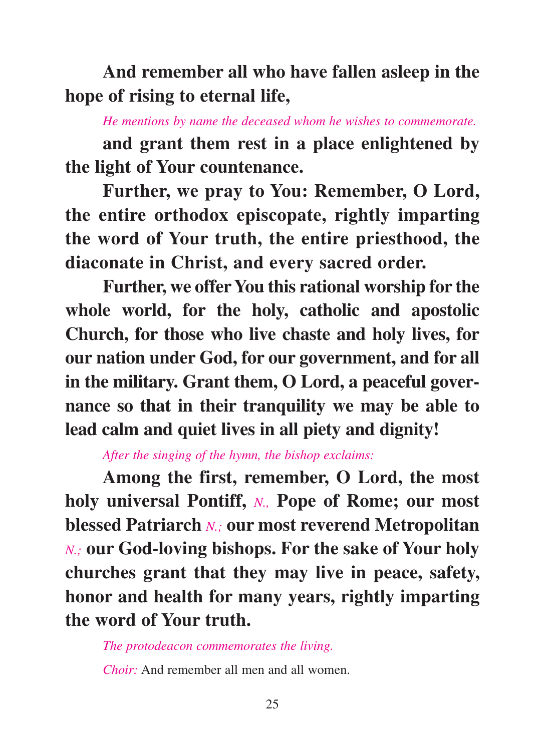**And remember all who have fallen asleep in the hope of rising to eternal life,**

*He mentions by name the deceased whom he wishes to commemorate.*

**and grant them rest in a place enlightened by the light of Your countenance.**

**Further, we pray to You: Remember, O Lord, the entire orthodox episcopate, rightly imparting the word of Your truth, the entire priesthood, the diaconate in Christ, and every sacred order.**

**Further, we offer You this rational worship for the whole world, for the holy, catholic and apostolic Church, for those who live chaste and holy lives, for our nation under God, for our government, and for all in the military. Grant them, O Lord, a peaceful governance so that in their tranquility we may be able to lead calm and quiet lives in all piety and dignity!**

*After the singing of the hymn, the bishop exclaims:*

**Among the first, remember, O Lord, the most holy universal Pontiff,** *N.,* **Pope of Rome; our most blessed Patriarch** *N.;* **our most reverend Metropolitan** *N.;* **our God-loving bishops. For the sake of Your holy churches grant that they may live in peace, safety, honor and health for many years, rightly imparting the word of Your truth.**

*The protodeacon commemorates the living.*

*Choir:* And remember all men and all women.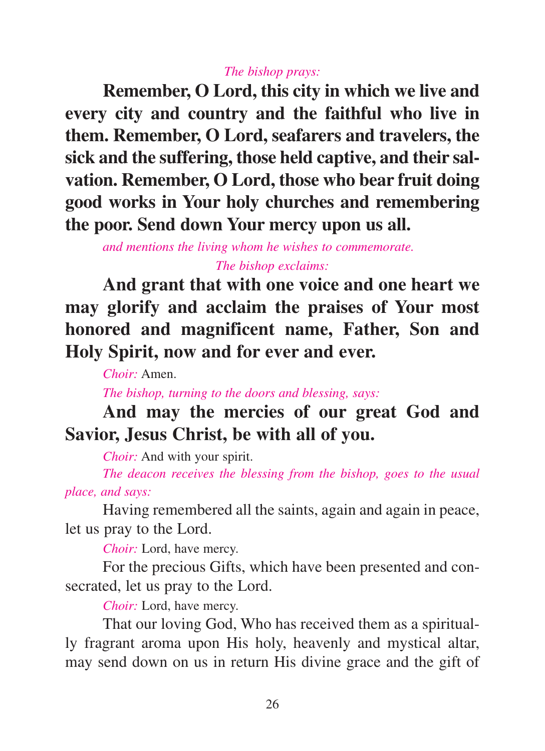#### *The bishop prays:*

**Remember, O Lord, this city in which we live and every city and country and the faithful who live in them. Remember, O Lord, seafarers and travelers, the sick and the suffering, those held captive, and their salvation. Remember, O Lord, those who bear fruit doing good works in Your holy churches and remembering the poor. Send down Your mercy upon us all.**

*and mentions the living whom he wishes to commemorate. The bishop exclaims:*

**And grant that with one voice and one heart we may glorify and acclaim the praises of Your most honored and magnificent name, Father, Son and Holy Spirit, now and for ever and ever.**

*Choir:* Amen.

*The bishop, turning to the doors and blessing, says:*

# **And may the mercies of our great God and Savior, Jesus Christ, be with all of you.**

*Choir:* And with your spirit.

*The deacon receives the blessing from the bishop, goes to the usual place, and says:*

Having remembered all the saints, again and again in peace, let us pray to the Lord.

*Choir:* Lord, have mercy.

For the precious Gifts, which have been presented and consecrated, let us pray to the Lord.

*Choir:* Lord, have mercy.

That our loving God, Who has received them as a spiritually fragrant aroma upon His holy, heavenly and mystical altar, may send down on us in return His divine grace and the gift of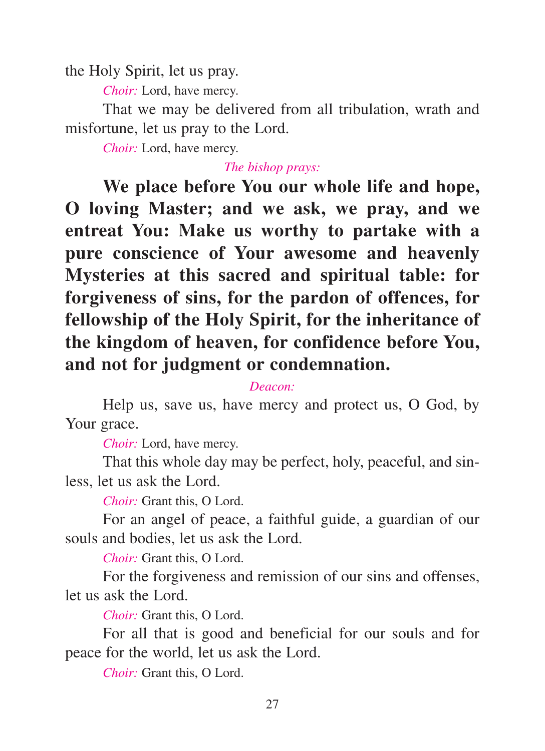the Holy Spirit, let us pray.

*Choir:* Lord, have mercy.

That we may be delivered from all tribulation, wrath and misfortune, let us pray to the Lord.

*Choir:* Lord, have mercy.

#### *The bishop prays:*

**We place before You our whole life and hope, O loving Master; and we ask, we pray, and we entreat You: Make us worthy to partake with a pure conscience of Your awesome and heavenly Mysteries at this sacred and spiritual table: for forgiveness of sins, for the pardon of offences, for fellowship of the Holy Spirit, for the inheritance of the kingdom of heaven, for confidence before You, and not for judgment or condemnation.**

#### *Deacon:*

Help us, save us, have mercy and protect us, O God, by Your grace.

*Choir:* Lord, have mercy.

That this whole day may be perfect, holy, peaceful, and sinless, let us ask the Lord.

*Choir:* Grant this, O Lord.

For an angel of peace, a faithful guide, a guardian of our souls and bodies, let us ask the Lord.

*Choir:* Grant this, O Lord.

For the forgiveness and remission of our sins and offenses, let us ask the Lord.

*Choir:* Grant this, O Lord.

For all that is good and beneficial for our souls and for peace for the world, let us ask the Lord.

*Choir:* Grant this, O Lord.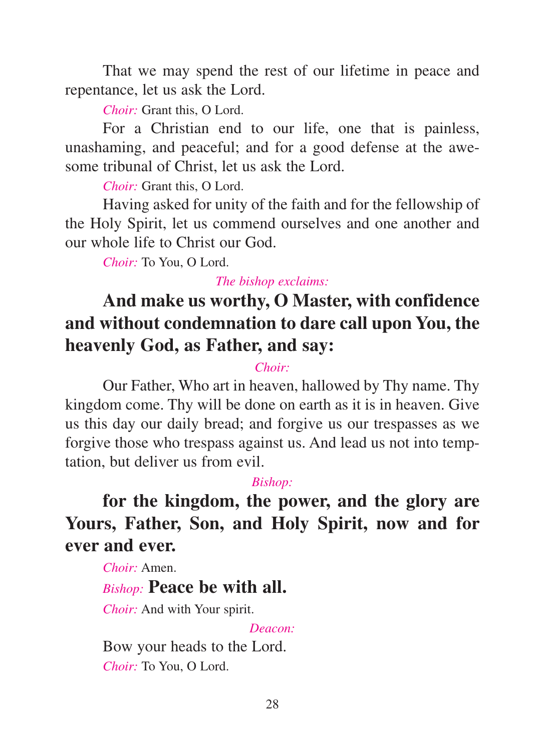That we may spend the rest of our lifetime in peace and repentance, let us ask the Lord.

*Choir:* Grant this, O Lord.

For a Christian end to our life, one that is painless, unashaming, and peaceful; and for a good defense at the awesome tribunal of Christ, let us ask the Lord.

*Choir:* Grant this, O Lord.

Having asked for unity of the faith and for the fellowship of the Holy Spirit, let us commend ourselves and one another and our whole life to Christ our God.

*Choir:* To You, O Lord.

*The bishop exclaims:*

# **And make us worthy, O Master, with confidence and without condemnation to dare call upon You, the heavenly God, as Father, and say:**

## *Choir:*

Our Father, Who art in heaven, hallowed by Thy name. Thy kingdom come. Thy will be done on earth as it is in heaven. Give us this day our daily bread; and forgive us our trespasses as we forgive those who trespass against us. And lead us not into temptation, but deliver us from evil.

### *Bishop:*

**for the kingdom, the power, and the glory are Yours, Father, Son, and Holy Spirit, now and for ever and ever.**

*Choir:* Amen.

# *Bishop:* **Peace be with all.**

*Choir:* And with Your spirit.

### *Deacon:*

Bow your heads to the Lord. *Choir:* To You, O Lord.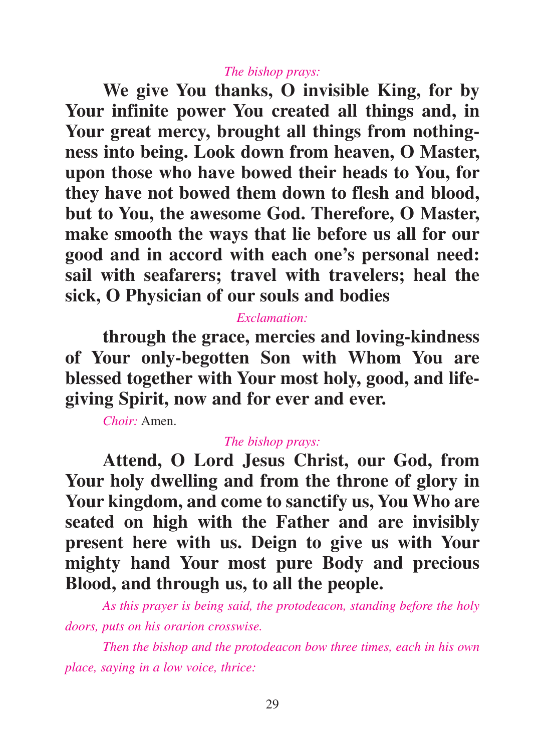#### *The bishop prays:*

**We give You thanks, O invisible King, for by Your infinite power You created all things and, in Your great mercy, brought all things from nothingness into being. Look down from heaven, O Master, upon those who have bowed their heads to You, for they have not bowed them down to flesh and blood, but to You, the awesome God. Therefore, O Master, make smooth the ways that lie before us all for our good and in accord with each one's personal need: sail with seafarers; travel with travelers; heal the sick, O Physician of our souls and bodies**

#### *Exclamation:*

**through the grace, mercies and loving-kindness of Your only-begotten Son with Whom You are blessed together with Your most holy, good, and lifegiving Spirit, now and for ever and ever.**

*Choir:* Amen.

### *The bishop prays:*

**Attend, O Lord Jesus Christ, our God, from Your holy dwelling and from the throne of glory in Your kingdom, and come to sanctify us, You Who are seated on high with the Father and are invisibly present here with us. Deign to give us with Your mighty hand Your most pure Body and precious Blood, and through us, to all the people.**

*As this prayer is being said, the protodeacon, standing before the holy doors, puts on his orarion crosswise.*

*Then the bishop and the protodeacon bow three times, each in his own place, saying in a low voice, thrice:*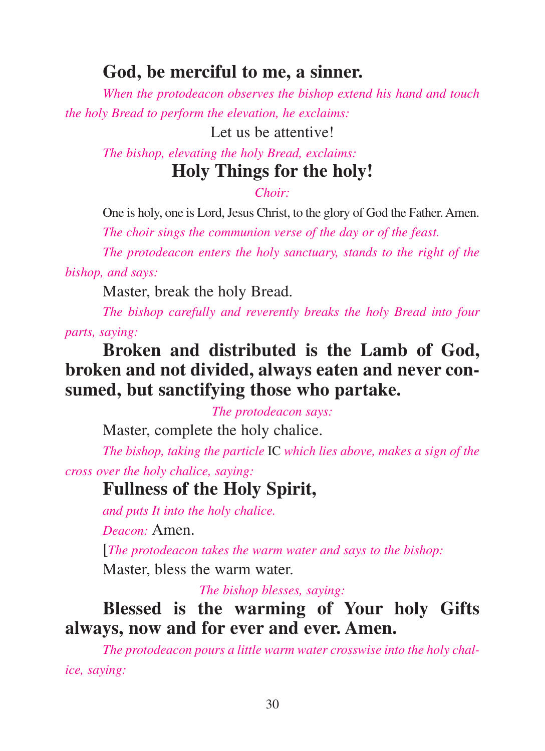## **God, be merciful to me, a sinner.**

*When the protodeacon observes the bishop extend his hand and touch the holy Bread to perform the elevation, he exclaims:*

Let us be attentive!

*The bishop, elevating the holy Bread, exclaims:*

## **Holy Things for the holy!**

*Choir:*

One is holy, one is Lord, Jesus Christ, to the glory of God the Father. Amen.

*The choir sings the communion verse of the day or of the feast.*

*The protodeacon enters the holy sanctuary, stands to the right of the bishop, and says:*

Master, break the holy Bread.

*The bishop carefully and reverently breaks the holy Bread into four parts, saying:*

# **Broken and distributed is the Lamb of God, broken and not divided, always eaten and never consumed, but sanctifying those who partake.**

*The protodeacon says:*

Master, complete the holy chalice.

*The bishop, taking the particle* IC *which lies above, makes a sign of the cross over the holy chalice, saying:*

## **Fullness of the Holy Spirit,**

*and puts It into the holy chalice.*

*Deacon:* Amen.

[*The protodeacon takes the warm water and says to the bishop:* Master, bless the warm water.

*The bishop blesses, saying:*

**Blessed is the warming of Your holy Gifts always, now and for ever and ever. Amen.**

*The protodeacon pours a little warm water crosswise into the holy chalice, saying:*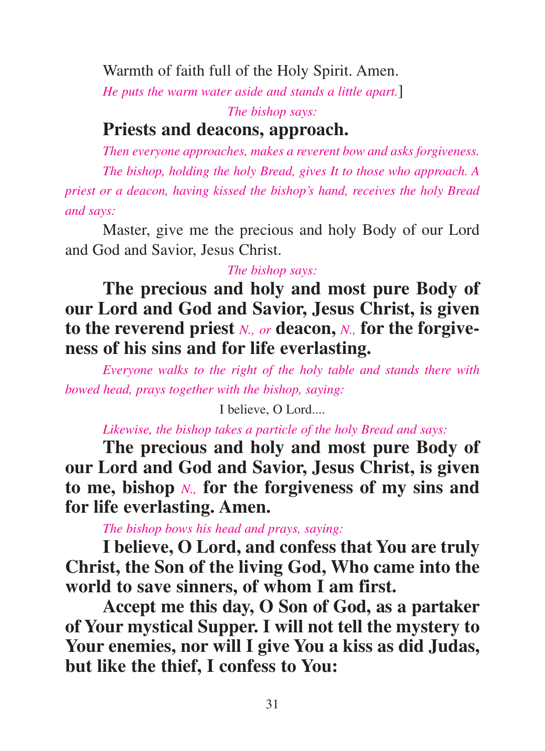Warmth of faith full of the Holy Spirit. Amen.

*He puts the warm water aside and stands a little apart.*]

*The bishop says:*

# **Priests and deacons, approach.**

*Then everyone approaches, makes a reverent bow and asks forgiveness. The bishop, holding the holy Bread, gives It to those who approach. A priest or a deacon, having kissed the bishop's hand, receives the holy Bread and says:*

Master, give me the precious and holy Body of our Lord and God and Savior, Jesus Christ.

### *The bishop says:*

**The precious and holy and most pure Body of our Lord and God and Savior, Jesus Christ, is given to the reverend priest** *N., or* **deacon,** *N.,* **for the forgiveness of his sins and for life everlasting.**

*Everyone walks to the right of the holy table and stands there with bowed head, prays together with the bishop, saying:*

I believe, O Lord....

*Likewise, the bishop takes a particle of the holy Bread and says:*

**The precious and holy and most pure Body of our Lord and God and Savior, Jesus Christ, is given to me, bishop** *N.,* **for the forgiveness of my sins and for life everlasting. Amen.**

*The bishop bows his head and prays, saying:*

**I believe, O Lord, and confess that You are truly Christ, the Son of the living God, Who came into the world to save sinners, of whom I am first.**

**Accept me this day, O Son of God, as a partaker of Your mystical Supper. I will not tell the mystery to Your enemies, nor will I give You a kiss as did Judas, but like the thief, I confess to You:**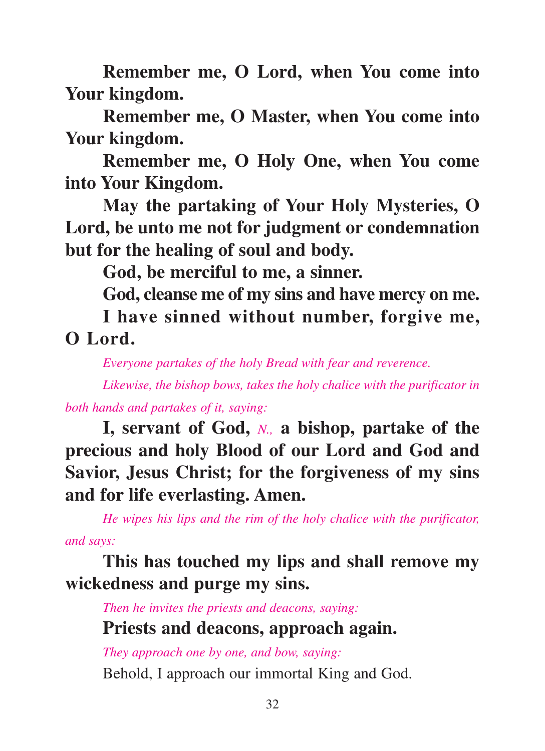**Remember me, O Lord, when You come into Your kingdom.**

**Remember me, O Master, when You come into Your kingdom.**

**Remember me, O Holy One, when You come into Your Kingdom.**

**May the partaking of Your Holy Mysteries, O Lord, be unto me not for judgment or condemnation but for the healing of soul and body.**

**God, be merciful to me, a sinner.**

**God, cleanse me of my sins and have mercy on me.**

**I have sinned without number, forgive me, O Lord.**

*Everyone partakes of the holy Bread with fear and reverence.*

*Likewise, the bishop bows, takes the holy chalice with the purificator in both hands and partakes of it, saying:*

**I, servant of God,** *N.,* **a bishop, partake of the precious and holy Blood of our Lord and God and Savior, Jesus Christ; for the forgiveness of my sins and for life everlasting. Amen.**

*He wipes his lips and the rim of the holy chalice with the purificator, and says:*

**This has touched my lips and shall remove my wickedness and purge my sins.**

*Then he invites the priests and deacons, saying:* **Priests and deacons, approach again.**

*They approach one by one, and bow, saying:* Behold, I approach our immortal King and God.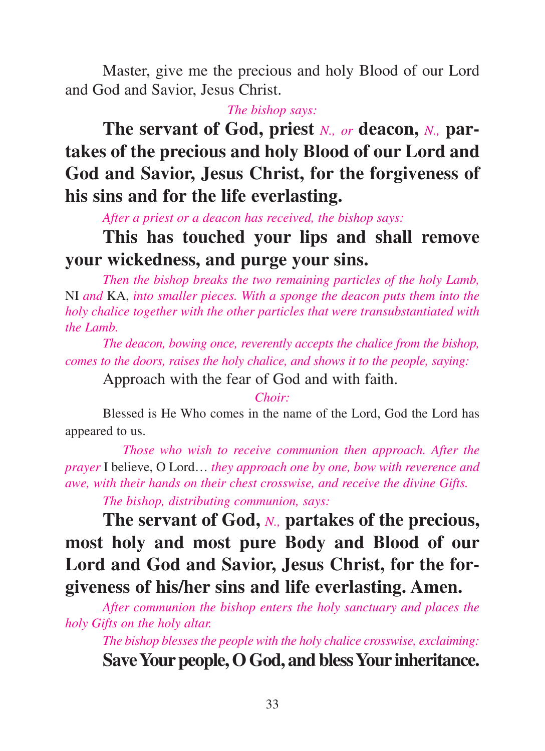Master, give me the precious and holy Blood of our Lord and God and Savior, Jesus Christ.

*The bishop says:*

**The servant of God, priest** *N., or* **deacon,** *N.,* **partakes of the precious and holy Blood of our Lord and God and Savior, Jesus Christ, for the forgiveness of his sins and for the life everlasting.**

*After a priest or a deacon has received, the bishop says:*

# **This has touched your lips and shall remove your wickedness, and purge your sins.**

*Then the bishop breaks the two remaining particles of the holy Lamb,* NI *and* KA, *into smaller pieces. With a sponge the deacon puts them into the holy chalice together with the other particles that were transubstantiated with the Lamb.*

*The deacon, bowing once, reverently accepts the chalice from the bishop, comes to the doors, raises the holy chalice, and shows it to the people, saying:*

Approach with the fear of God and with faith.

*Choir:*

Blessed is He Who comes in the name of the Lord, God the Lord has appeared to us.

*Those who wish to receive communion then approach. After the prayer* I believe, O Lord… *they approach one by one, bow with reverence and awe, with their hands on their chest crosswise, and receive the divine Gifts.*

*The bishop, distributing communion, says:*

**The servant of God,** *N.,* **partakes of the precious, most holy and most pure Body and Blood of our Lord and God and Savior, Jesus Christ, for the forgiveness of his/her sins and life everlasting. Amen.**

*After communion the bishop enters the holy sanctuary and places the holy Gifts on the holy altar.*

*The bishop blesses the people with the holy chalice crosswise, exclaiming:* Save Your people, O God, and bless Your inheritance.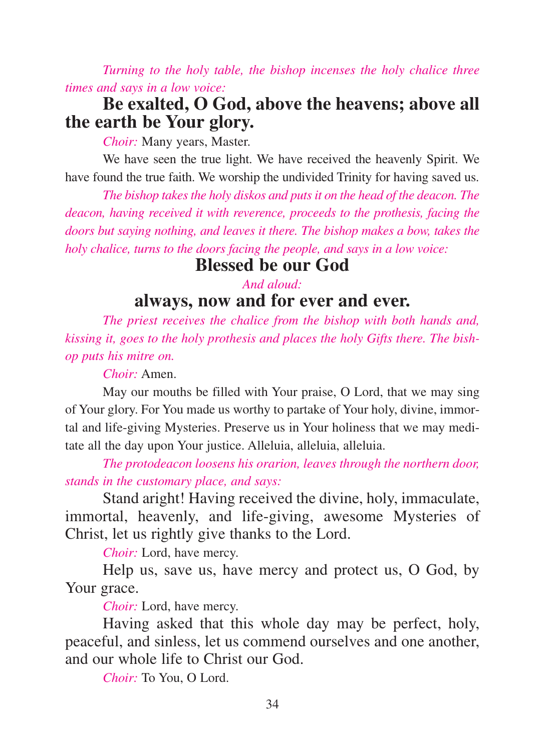*Turning to the holy table, the bishop incenses the holy chalice three times and says in a low voice:*

## **Be exalted, O God, above the heavens; above all the earth be Your glory.**

*Choir:* Many years, Master.

We have seen the true light. We have received the heavenly Spirit. We have found the true faith. We worship the undivided Trinity for having saved us.

*The bishop takes the holy diskos and puts it on the head of the deacon. The deacon, having received it with reverence, proceeds to the prothesis, facing the doors but saying nothing, and leaves it there. The bishop makes a bow, takes the holy chalice, turns to the doors facing the people, and says in a low voice:*

## **Blessed be our God**

### *And aloud:* **always, now and for ever and ever.**

*The priest receives the chalice from the bishop with both hands and, kissing it, goes to the holy prothesis and places the holy Gifts there. The bishop puts his mitre on.*

*Choir:* Amen.

May our mouths be filled with Your praise, O Lord, that we may sing of Your glory. For You made us worthy to partake of Your holy, divine, immortal and life-giving Mysteries. Preserve us in Your holiness that we may meditate all the day upon Your justice. Alleluia, alleluia, alleluia.

*The protodeacon loosens his orarion, leaves through the northern door, stands in the customary place, and says:*

Stand aright! Having received the divine, holy, immaculate, immortal, heavenly, and life-giving, awesome Mysteries of Christ, let us rightly give thanks to the Lord.

*Choir:* Lord, have mercy.

Help us, save us, have mercy and protect us, O God, by Your grace.

*Choir:* Lord, have mercy.

Having asked that this whole day may be perfect, holy, peaceful, and sinless, let us commend ourselves and one another, and our whole life to Christ our God.

*Choir:* To You, O Lord.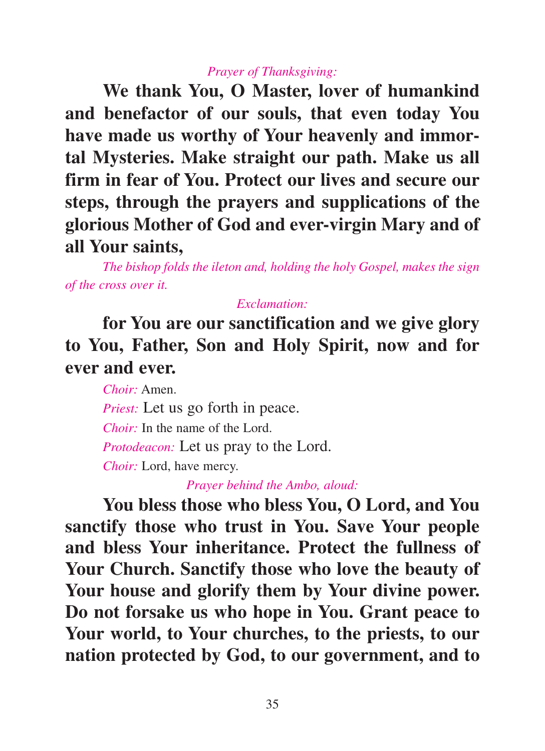#### *Prayer of Thanksgiving:*

**We thank You, O Master, lover of humankind and benefactor of our souls, that even today You have made us worthy of Your heavenly and immortal Mysteries. Make straight our path. Make us all firm in fear of You. Protect our lives and secure our steps, through the prayers and supplications of the glorious Mother of God and ever-virgin Mary and of all Your saints,**

*The bishop folds the ileton and, holding the holy Gospel, makes the sign of the cross over it.*

### *Exclamation:*

**for You are our sanctification and we give glory to You, Father, Son and Holy Spirit, now and for ever and ever.**

*Choir:* Amen.

*Priest:* Let us go forth in peace.

*Choir:* In the name of the Lord.

*Protodeacon:* Let us pray to the Lord.

*Choir:* Lord, have mercy.

*Prayer behind the Ambo, aloud:*

**You bless those who bless You, O Lord, and You sanctify those who trust in You. Save Your people and bless Your inheritance. Protect the fullness of Your Church. Sanctify those who love the beauty of Your house and glorify them by Your divine power. Do not forsake us who hope in You. Grant peace to Your world, to Your churches, to the priests, to our nation protected by God, to our government, and to**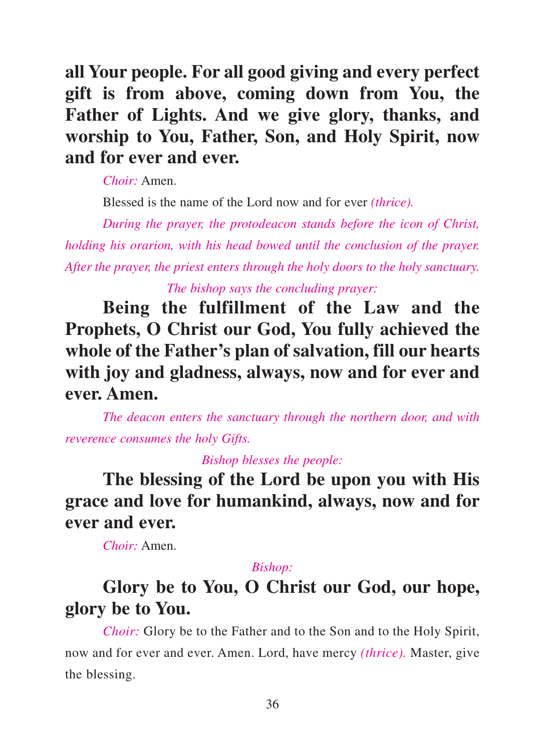**all Your people. For all good giving and every perfect gift is from above, coming down from You, the Father of Lights. And we give glory, thanks, and worship to You, Father, Son, and Holy Spirit, now and for ever and ever.**

*Choir:* Amen.

Blessed is the name of the Lord now and for ever *(thrice).*

*During the prayer, the protodeacon stands before the icon of Christ, holding his orarion, with his head bowed until the conclusion of the prayer. After the prayer, the priest enters through the holy doors to the holy sanctuary. The bishop says the concluding prayer:*

**Being the fulfillment of the Law and the Prophets, O Christ our God, You fully achieved the whole of the Father's plan of salvation, fill our hearts with joy and gladness, always, now and for ever and ever. Amen.**

*The deacon enters the sanctuary through the northern door, and with reverence consumes the holy Gifts.*

*Bishop blesses the people:*

**The blessing of the Lord be upon you with His grace and love for humankind, always, now and for ever and ever.**

*Choir:* Amen.

#### *Bishop:*

# **Glory be to You, O Christ our God, our hope, glory be to You.**

*Choir:* Glory be to the Father and to the Son and to the Holy Spirit, now and for ever and ever. Amen. Lord, have mercy *(thrice).* Master, give the blessing.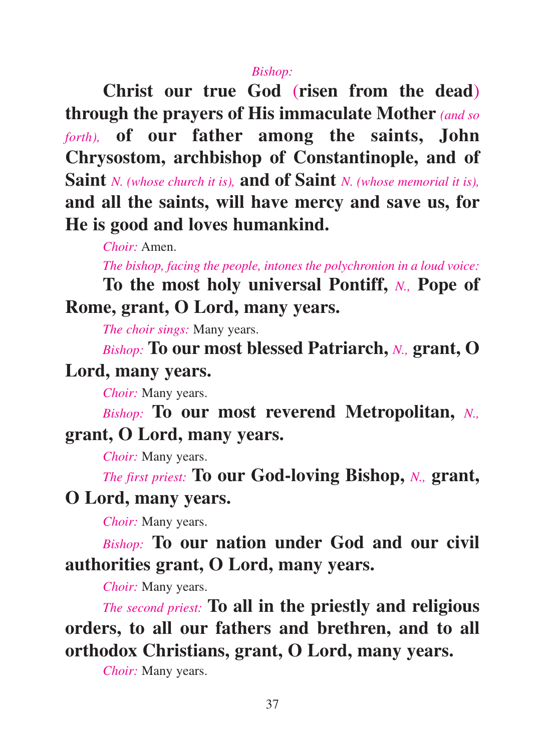#### *Bishop:*

**Christ our true God** (**risen from the dead**) **through the prayers of His immaculate Mother** *(and so forth),* **of our father among the saints, John Chrysostom, archbishop of Constantinople, and of Saint** *N. (whose church it is),* **and of Saint** *N. (whose memorial it is),* **and all the saints, will have mercy and save us, for He is good and loves humankind.**

*Choir:* Amen.

*The bishop, facing the people, intones the polychronion in a loud voice:*

**To the most holy universal Pontiff,** *N.,* **Pope of Rome, grant, O Lord, many years.**

*The choir sings:* Many years.

*Bishop:* **To our most blessed Patriarch,** *N.,* **grant, O Lord, many years.**

*Choir:* Many years.

*Bishop:* **To our most reverend Metropolitan,** *N.,* **grant, O Lord, many years.**

*Choir:* Many years.

*The first priest:* **To our God-loving Bishop,** *N.,* **grant, O Lord, many years.**

*Choir:* Many years.

*Bishop:* **To our nation under God and our civil authorities grant, O Lord, many years.**

*Choir:* Many years.

*The second priest:* **To all in the priestly and religious orders, to all our fathers and brethren, and to all orthodox Christians, grant, O Lord, many years.**

*Choir:* Many years.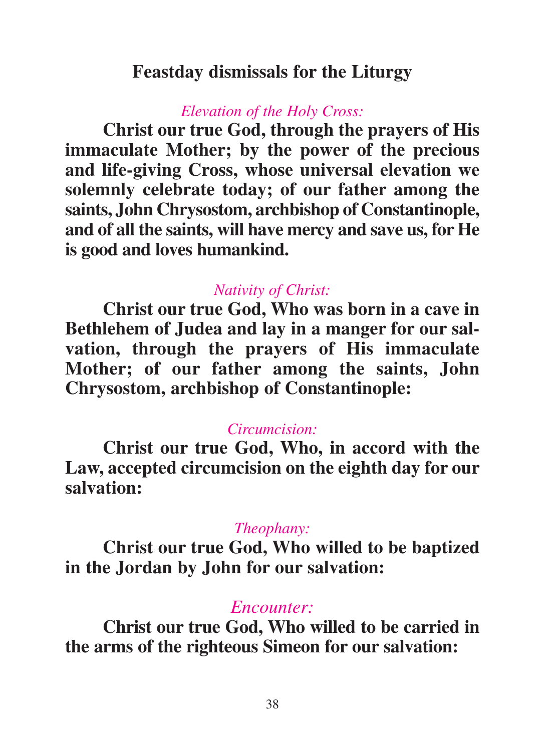## **Feastday dismissals for the Liturgy**

## *Elevation of the Holy Cross:*

**Christ our true God, through the prayers of His immaculate Mother; by the power of the precious and life-giving Cross, whose universal elevation we solemnly celebrate today; of our father among the saints, John Chrysostom, archbishop of Constantinople, and of all the saints, will have mercy and save us, for He is good and loves humankind.**

## *Nativity of Christ:*

**Christ our true God, Who was born in a cave in Bethlehem of Judea and lay in a manger for our salvation, through the prayers of His immaculate Mother; of our father among the saints, John Chrysostom, archbishop of Constantinople:**

## *Circumcision:*

**Christ our true God, Who, in accord with the Law, accepted circumcision on the eighth day for our salvation:**

## *Theophany:*

**Christ our true God, Who willed to be baptized in the Jordan by John for our salvation:**

## *Encounter:*

**Christ our true God, Who willed to be carried in the arms of the righteous Simeon for our salvation:**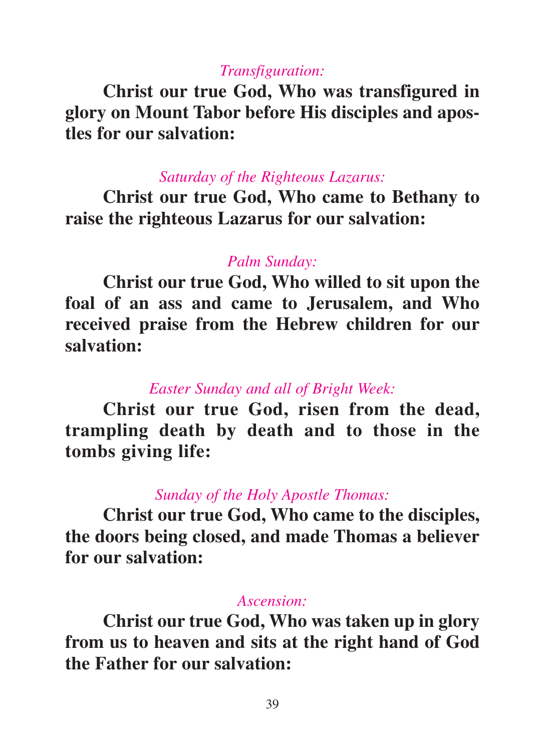## *Transfiguration:*

**Christ our true God, Who was transfigured in glory on Mount Tabor before His disciples and apostles for our salvation:**

## *Saturday of the Righteous Lazarus:*

**Christ our true God, Who came to Bethany to raise the righteous Lazarus for our salvation:**

### *Palm Sunday:*

**Christ our true God, Who willed to sit upon the foal of an ass and came to Jerusalem, and Who received praise from the Hebrew children for our salvation:**

## *Easter Sunday and all of Bright Week:*

**Christ our true God, risen from the dead, trampling death by death and to those in the tombs giving life:**

## *Sunday of the Holy Apostle Thomas:*

**Christ our true God, Who came to the disciples, the doors being closed, and made Thomas a believer for our salvation:**

### *Ascension:*

**Christ our true God, Who was taken up in glory from us to heaven and sits at the right hand of God the Father for our salvation:**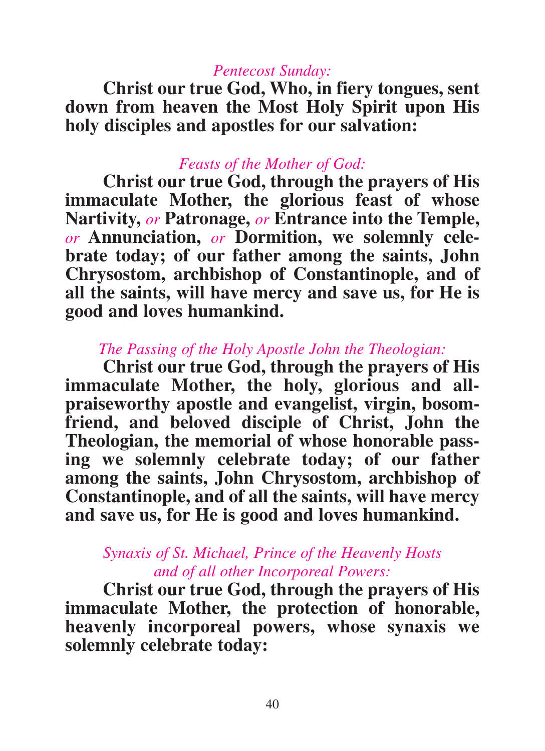### *Pentecost Sunday:*

**Christ our true God, Who, in fiery tongues, sent down from heaven the Most Holy Spirit upon His holy disciples and apostles for our salvation:**

### *Feasts of the Mother of God:*

**Christ our true God, through the prayers of His immaculate Mother, the glorious feast of whose Nartivity,** *or* **Patronage,** *or* **Entrance into the Temple,** *or* **Annunciation,** *or* **Dormition, we solemnly celebrate today; of our father among the saints, John Chrysostom, archbishop of Constantinople, and of all the saints, will have mercy and save us, for He is good and loves humankind.**

### *The Passing of the Holy Apostle John the Theologian:*

**Christ our true God, through the prayers of His immaculate Mother, the holy, glorious and allpraiseworthy apostle and evangelist, virgin, bosomfriend, and beloved disciple of Christ, John the Theologian, the memorial of whose honorable passing we solemnly celebrate today; of our father among the saints, John Chrysostom, archbishop of Constantinople, and of all the saints, will have mercy and save us, for He is good and loves humankind.**

## *Synaxis of St. Michael, Prince of the Heavenly Hosts and of all other Incorporeal Powers:*

**Christ our true God, through the prayers of His immaculate Mother, the protection of honorable, heavenly incorporeal powers, whose synaxis we solemnly celebrate today:**